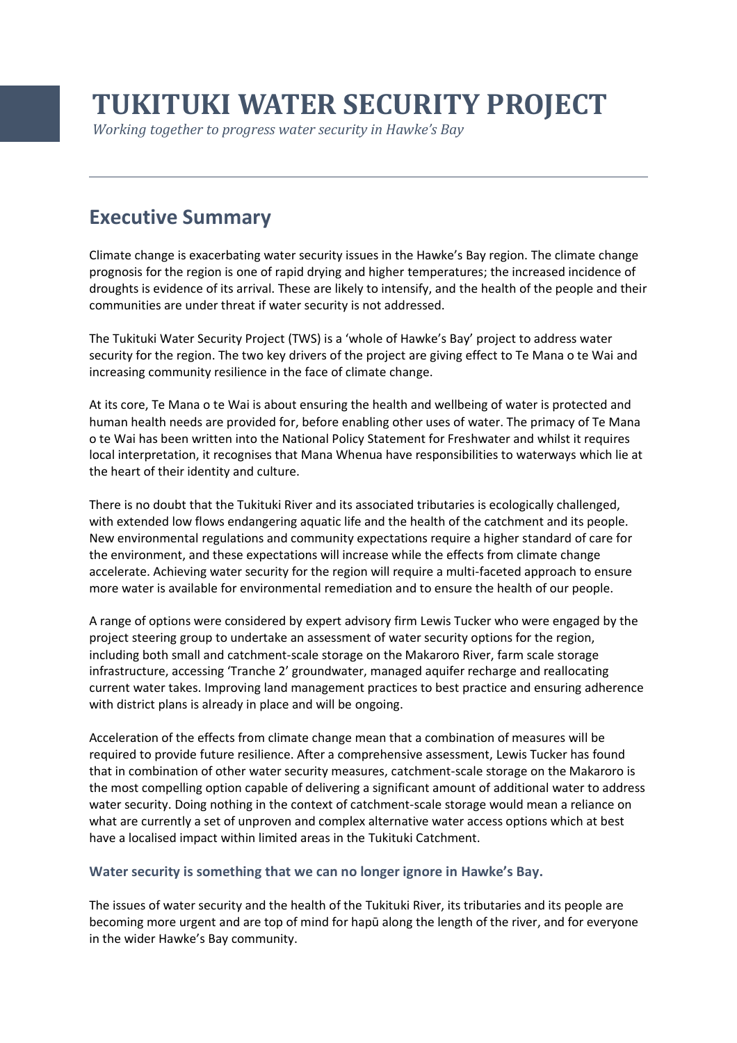# **TUKITUKI WATER SECURITY PROJECT**

*Working together to progress water security in Hawke's Bay* 

## **Executive Summary**

Climate change is exacerbating water security issues in the Hawke's Bay region. The climate change prognosis for the region is one of rapid drying and higher temperatures; the increased incidence of droughts is evidence of its arrival. These are likely to intensify, and the health of the people and their communities are under threat if water security is not addressed.

The Tukituki Water Security Project (TWS) is a 'whole of Hawke's Bay' project to address water security for the region. The two key drivers of the project are giving effect to Te Mana o te Wai and increasing community resilience in the face of climate change.

At its core, Te Mana o te Wai is about ensuring the health and wellbeing of water is protected and human health needs are provided for, before enabling other uses of water. The primacy of Te Mana o te Wai has been written into the National Policy Statement for Freshwater and whilst it requires local interpretation, it recognises that Mana Whenua have responsibilities to waterways which lie at the heart of their identity and culture.

There is no doubt that the Tukituki River and its associated tributaries is ecologically challenged, with extended low flows endangering aquatic life and the health of the catchment and its people. New environmental regulations and community expectations require a higher standard of care for the environment, and these expectations will increase while the effects from climate change accelerate. Achieving water security for the region will require a multi-faceted approach to ensure more water is available for environmental remediation and to ensure the health of our people.

A range of options were considered by expert advisory firm Lewis Tucker who were engaged by the project steering group to undertake an assessment of water security options for the region, including both small and catchment-scale storage on the Makaroro River, farm scale storage infrastructure, accessing 'Tranche 2' groundwater, managed aquifer recharge and reallocating current water takes. Improving land management practices to best practice and ensuring adherence with district plans is already in place and will be ongoing.

Acceleration of the effects from climate change mean that a combination of measures will be required to provide future resilience. After a comprehensive assessment, Lewis Tucker has found that in combination of other water security measures, catchment-scale storage on the Makaroro is the most compelling option capable of delivering a significant amount of additional water to address water security. Doing nothing in the context of catchment-scale storage would mean a reliance on what are currently a set of unproven and complex alternative water access options which at best have a localised impact within limited areas in the Tukituki Catchment.

### **Water security is something that we can no longer ignore in Hawke's Bay.**

The issues of water security and the health of the Tukituki River, its tributaries and its people are becoming more urgent and are top of mind for hapū along the length of the river, and for everyone in the wider Hawke's Bay community.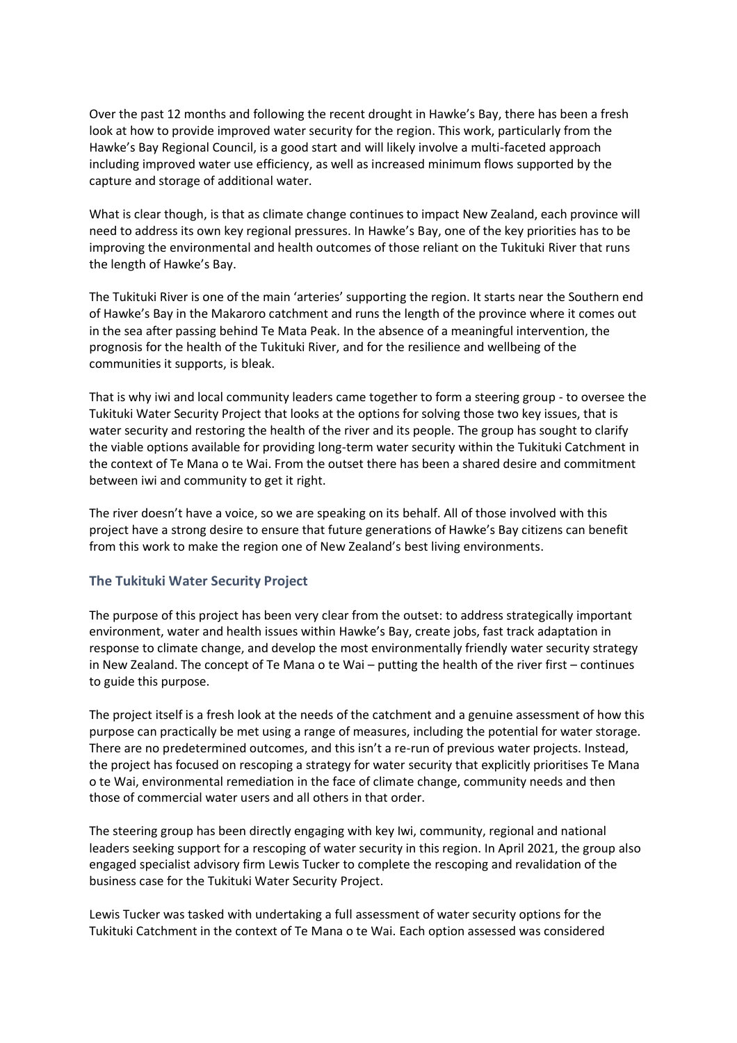Over the past 12 months and following the recent drought in Hawke's Bay, there has been a fresh look at how to provide improved water security for the region. This work, particularly from the Hawke's Bay Regional Council, is a good start and will likely involve a multi-faceted approach including improved water use efficiency, as well as increased minimum flows supported by the capture and storage of additional water.

What is clear though, is that as climate change continues to impact New Zealand, each province will need to address its own key regional pressures. In Hawke's Bay, one of the key priorities has to be improving the environmental and health outcomes of those reliant on the Tukituki River that runs the length of Hawke's Bay.

The Tukituki River is one of the main 'arteries' supporting the region. It starts near the Southern end of Hawke's Bay in the Makaroro catchment and runs the length of the province where it comes out in the sea after passing behind Te Mata Peak. In the absence of a meaningful intervention, the prognosis for the health of the Tukituki River, and for the resilience and wellbeing of the communities it supports, is bleak.

That is why iwi and local community leaders came together to form a steering group - to oversee the Tukituki Water Security Project that looks at the options for solving those two key issues, that is water security and restoring the health of the river and its people. The group has sought to clarify the viable options available for providing long-term water security within the Tukituki Catchment in the context of Te Mana o te Wai. From the outset there has been a shared desire and commitment between iwi and community to get it right.

The river doesn't have a voice, so we are speaking on its behalf. All of those involved with this project have a strong desire to ensure that future generations of Hawke's Bay citizens can benefit from this work to make the region one of New Zealand's best living environments.

### **The Tukituki Water Security Project**

The purpose of this project has been very clear from the outset: to address strategically important environment, water and health issues within Hawke's Bay, create jobs, fast track adaptation in response to climate change, and develop the most environmentally friendly water security strategy in New Zealand. The concept of Te Mana o te Wai – putting the health of the river first – continues to guide this purpose.

The project itself is a fresh look at the needs of the catchment and a genuine assessment of how this purpose can practically be met using a range of measures, including the potential for water storage. There are no predetermined outcomes, and this isn't a re-run of previous water projects. Instead, the project has focused on rescoping a strategy for water security that explicitly prioritises Te Mana o te Wai, environmental remediation in the face of climate change, community needs and then those of commercial water users and all others in that order.

The steering group has been directly engaging with key Iwi, community, regional and national leaders seeking support for a rescoping of water security in this region. In April 2021, the group also engaged specialist advisory firm Lewis Tucker to complete the rescoping and revalidation of the business case for the Tukituki Water Security Project.

Lewis Tucker was tasked with undertaking a full assessment of water security options for the Tukituki Catchment in the context of Te Mana o te Wai. Each option assessed was considered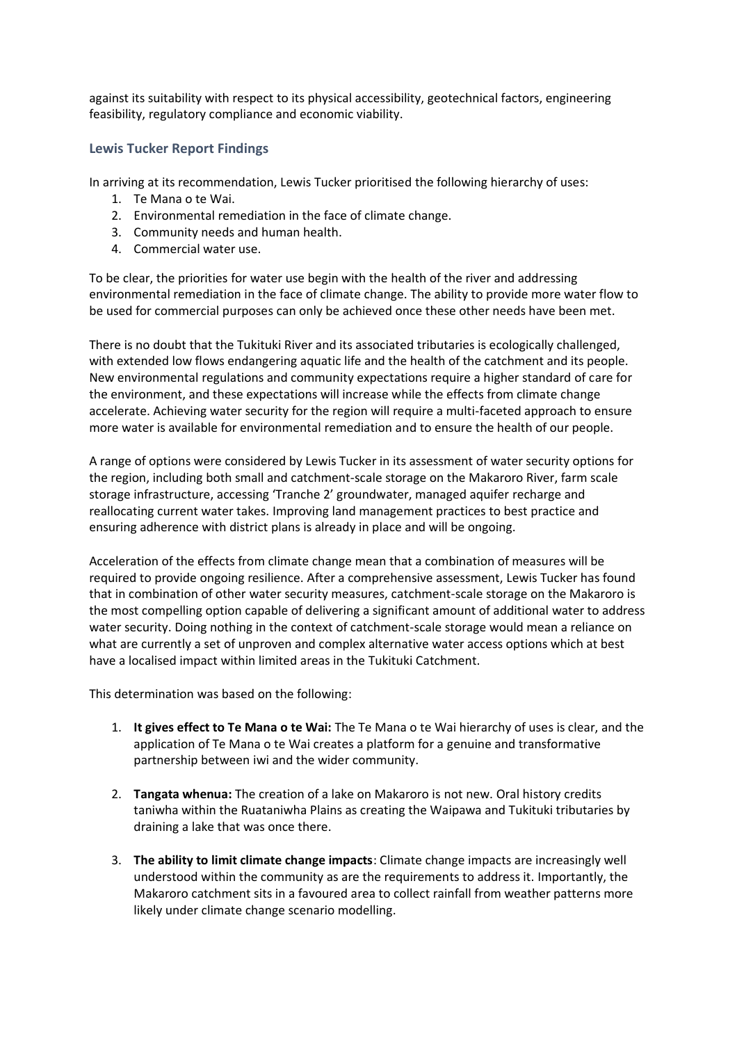against its suitability with respect to its physical accessibility, geotechnical factors, engineering feasibility, regulatory compliance and economic viability.

#### **Lewis Tucker Report Findings**

In arriving at its recommendation, Lewis Tucker prioritised the following hierarchy of uses:

- 1. Te Mana o te Wai.
- 2. Environmental remediation in the face of climate change.
- 3. Community needs and human health.
- 4. Commercial water use.

To be clear, the priorities for water use begin with the health of the river and addressing environmental remediation in the face of climate change. The ability to provide more water flow to be used for commercial purposes can only be achieved once these other needs have been met.

There is no doubt that the Tukituki River and its associated tributaries is ecologically challenged, with extended low flows endangering aquatic life and the health of the catchment and its people. New environmental regulations and community expectations require a higher standard of care for the environment, and these expectations will increase while the effects from climate change accelerate. Achieving water security for the region will require a multi-faceted approach to ensure more water is available for environmental remediation and to ensure the health of our people.

A range of options were considered by Lewis Tucker in its assessment of water security options for the region, including both small and catchment-scale storage on the Makaroro River, farm scale storage infrastructure, accessing 'Tranche 2' groundwater, managed aquifer recharge and reallocating current water takes. Improving land management practices to best practice and ensuring adherence with district plans is already in place and will be ongoing.

Acceleration of the effects from climate change mean that a combination of measures will be required to provide ongoing resilience. After a comprehensive assessment, Lewis Tucker has found that in combination of other water security measures, catchment-scale storage on the Makaroro is the most compelling option capable of delivering a significant amount of additional water to address water security. Doing nothing in the context of catchment-scale storage would mean a reliance on what are currently a set of unproven and complex alternative water access options which at best have a localised impact within limited areas in the Tukituki Catchment.

This determination was based on the following:

- 1. **It gives effect to Te Mana o te Wai:** The Te Mana o te Wai hierarchy of uses is clear, and the application of Te Mana o te Wai creates a platform for a genuine and transformative partnership between iwi and the wider community.
- 2. **Tangata whenua:** The creation of a lake on Makaroro is not new. Oral history credits taniwha within the Ruataniwha Plains as creating the Waipawa and Tukituki tributaries by draining a lake that was once there.
- 3. **The ability to limit climate change impacts**: Climate change impacts are increasingly well understood within the community as are the requirements to address it. Importantly, the Makaroro catchment sits in a favoured area to collect rainfall from weather patterns more likely under climate change scenario modelling.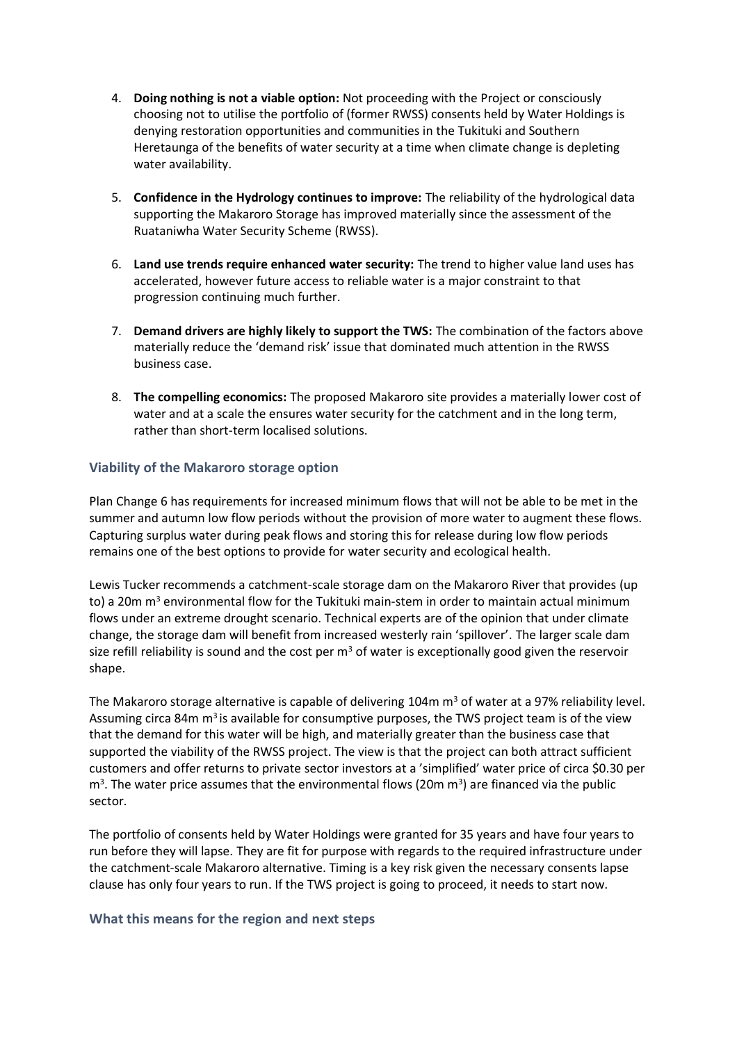- 4. **Doing nothing is not a viable option:** Not proceeding with the Project or consciously choosing not to utilise the portfolio of (former RWSS) consents held by Water Holdings is denying restoration opportunities and communities in the Tukituki and Southern Heretaunga of the benefits of water security at a time when climate change is depleting water availability.
- 5. **Confidence in the Hydrology continues to improve:** The reliability of the hydrological data supporting the Makaroro Storage has improved materially since the assessment of the Ruataniwha Water Security Scheme (RWSS).
- 6. **Land use trends require enhanced water security:** The trend to higher value land uses has accelerated, however future access to reliable water is a major constraint to that progression continuing much further.
- 7. **Demand drivers are highly likely to support the TWS:** The combination of the factors above materially reduce the 'demand risk' issue that dominated much attention in the RWSS business case.
- 8. **The compelling economics:** The proposed Makaroro site provides a materially lower cost of water and at a scale the ensures water security for the catchment and in the long term, rather than short-term localised solutions.

### **Viability of the Makaroro storage option**

Plan Change 6 has requirements for increased minimum flows that will not be able to be met in the summer and autumn low flow periods without the provision of more water to augment these flows. Capturing surplus water during peak flows and storing this for release during low flow periods remains one of the best options to provide for water security and ecological health.

Lewis Tucker recommends a catchment-scale storage dam on the Makaroro River that provides (up to) a 20m  $m<sup>3</sup>$  environmental flow for the Tukituki main-stem in order to maintain actual minimum flows under an extreme drought scenario. Technical experts are of the opinion that under climate change, the storage dam will benefit from increased westerly rain 'spillover'. The larger scale dam size refill reliability is sound and the cost per  $m<sup>3</sup>$  of water is exceptionally good given the reservoir shape.

The Makaroro storage alternative is capable of delivering 104m  $m<sup>3</sup>$  of water at a 97% reliability level. Assuming circa 84m  $m<sup>3</sup>$  is available for consumptive purposes, the TWS project team is of the view that the demand for this water will be high, and materially greater than the business case that supported the viability of the RWSS project. The view is that the project can both attract sufficient customers and offer returns to private sector investors at a 'simplified' water price of circa \$0.30 per m<sup>3</sup>. The water price assumes that the environmental flows (20m m<sup>3</sup>) are financed via the public sector.

The portfolio of consents held by Water Holdings were granted for 35 years and have four years to run before they will lapse. They are fit for purpose with regards to the required infrastructure under the catchment-scale Makaroro alternative. Timing is a key risk given the necessary consents lapse clause has only four years to run. If the TWS project is going to proceed, it needs to start now.

#### **What this means for the region and next steps**